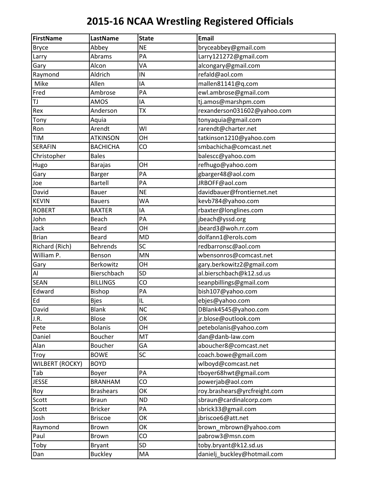| <b>FirstName</b>       | LastName         | <b>State</b> | <b>Email</b>                 |
|------------------------|------------------|--------------|------------------------------|
| <b>Bryce</b>           | Abbey            | <b>NE</b>    | bryceabbey@gmail.com         |
| Larry                  | Abrams           | PA           | Larry121272@gmail.com        |
| Gary                   | Alcon            | VA           | alcongary@gmail.com          |
| Raymond                | Aldrich          | IN           | refald@aol.com               |
| Mike                   | Allen            | ΙA           | mallen81141@q.com            |
| Fred                   | Ambrose          | PA           | ewl.ambrose@gmail.com        |
| TJ                     | AMOS             | ΙA           | tj.amos@marshpm.com          |
| Rex                    | Anderson         | <b>TX</b>    | rexanderson031602@yahoo.com  |
| Tony                   | Aquia            |              | tonyaquia@gmail.com          |
| Ron                    | Arendt           | WI           | rarendt@charter.net          |
| TIM                    | <b>ATKINSON</b>  | OH           | tatkinson1210@yahoo.com      |
| <b>SERAFIN</b>         | <b>BACHICHA</b>  | CO           | smbachicha@comcast.net       |
| Christopher            | <b>Bales</b>     |              | balescc@yahoo.com            |
| Hugo                   | <b>Barajas</b>   | OH           | refhugo@yahoo.com            |
| Gary                   | <b>Barger</b>    | PA           | gbarger48@aol.com            |
| Joe                    | Bartell          | PA           | JRBOFF@aol.com               |
| David                  | <b>Bauer</b>     | <b>NE</b>    | davidbauer@frontiernet.net   |
| <b>KEVIN</b>           | <b>Bauers</b>    | <b>WA</b>    | kevb784@yahoo.com            |
| <b>ROBERT</b>          | <b>BAXTER</b>    | ΙA           | rbaxter@longlines.com        |
| John                   | Beach            | PA           | jbeach@yssd.org              |
| Jack                   | Beard            | OH           | jbeard3@woh.rr.com           |
| <b>Brian</b>           | <b>Beard</b>     | <b>MD</b>    | dolfann1@erols.com           |
| Richard (Rich)         | <b>Behrends</b>  | SC           | redbarronsc@aol.com          |
| William P.             | Benson           | MN           | wbensonros@comcast.net       |
| Gary                   | Berkowitz        | OH           | gary.berkowitz2@gmail.com    |
| Al                     | Bierschbach      | SD           | al.bierschbach@k12.sd.us     |
| <b>SEAN</b>            | <b>BILLINGS</b>  | CO           | seanpbillings@gmail.com      |
| Edward                 | Bishop           | PA           | bish107@yahoo.com            |
| Ed                     | <b>Bjes</b>      | IL           | ebjes@yahoo.com              |
| David                  | <b>Blank</b>     | <b>NC</b>    | DBlank4545@yahoo.com         |
| J.R.                   | Blose            | OK           | jr.blose@outlook.com         |
| Pete                   | <b>Bolanis</b>   | OH           | petebolanis@yahoo.com        |
| Daniel                 | Boucher          | MT           | dan@danb-law.com             |
| Alan                   | Boucher          | GA           | aboucher8@comcast.net        |
| Troy                   | <b>BOWE</b>      | SC           | coach.bowe@gmail.com         |
| <b>WILBERT (ROCKY)</b> | <b>BOYD</b>      |              | wlboyd@comcast.net           |
| Tab                    | Boyer            | PA           | tboyer68hwt@gmail.com        |
| <b>JESSE</b>           | <b>BRANHAM</b>   | CO           | powerjab@aol.com             |
| Roy                    | <b>Brashears</b> | OK           | roy.brashears@yrcfreight.com |
| Scott                  | <b>Braun</b>     | <b>ND</b>    | sbraun@cardinalcorp.com      |
| Scott                  | <b>Bricker</b>   | PA           | sbrick33@gmail.com           |
| Josh                   | <b>Briscoe</b>   | OK           | jbriscoe6@att.net            |
| Raymond                | Brown            | OK           | brown_mbrown@yahoo.com       |
| Paul                   | Brown            | CO           | pabrow3@msn.com              |
| Toby                   | <b>Bryant</b>    | SD           | toby.bryant@k12.sd.us        |
| Dan                    | <b>Buckley</b>   | MA           | danielj_buckley@hotmail.com  |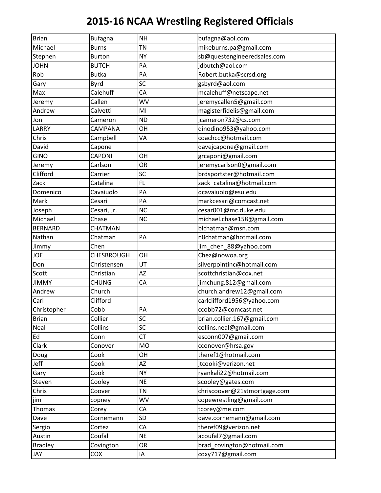| <b>Brian</b>   | <b>Bufagna</b>    | <b>NH</b> | bufagna@aol.com              |
|----------------|-------------------|-----------|------------------------------|
| Michael        | <b>Burns</b>      | <b>TN</b> | mikeburns.pa@gmail.com       |
| Stephen        | <b>Burton</b>     | <b>NY</b> | sb@questengineeredsales.com  |
| <b>JOHN</b>    | <b>BUTCH</b>      | PA        | jdbutch@aol.com              |
| Rob            | <b>Butka</b>      | PA        | Robert.butka@scrsd.org       |
| Gary           | Byrd              | SC        | gsbyrd@aol.com               |
| Max            | Calehuff          | CA        | mcalehuff@netscape.net       |
| Jeremy         | Callen            | <b>WV</b> | jeremycallen5@gmail.com      |
| Andrew         | Calvetti          | MI        | magisterfidelis@gmail.com    |
| Jon            | Cameron           | <b>ND</b> | jcameron732@cs.com           |
| LARRY          | CAMPANA           | OH        | dinodino953@yahoo.com        |
| Chris          | Campbell          | VA        | coachcc@hotmail.com          |
| David          | Capone            |           | davejcapone@gmail.com        |
| <b>GINO</b>    | <b>CAPONI</b>     | OH        | grcaponi@gmail.com           |
| Jeremy         | Carlson           | OR        | jeremycarlson0@gmail.com     |
| Clifford       | Carrier           | SC        | brdsportster@hotmail.com     |
| Zack           | Catalina          | <b>FL</b> | zack_catalina@hotmail.com    |
| Domenico       | Cavaiuolo         | PA        | dcavaiuolo@esu.edu           |
| Mark           | Cesari            | PA        | markcesari@comcast.net       |
| Joseph         | Cesari, Jr.       | <b>NC</b> | cesar001@mc.duke.edu         |
| Michael        | Chase             | <b>NC</b> | michael.chase158@gmail.com   |
| <b>BERNARD</b> | CHATMAN           |           | blchatman@msn.com            |
| Nathan         | Chatman           | PA        | n8chatman@hotmail.com        |
| Jimmy          | Chen              |           | jim_chen_88@yahoo.com        |
| <b>JOE</b>     | <b>CHESBROUGH</b> | OH        | Chez@nowoa.org               |
| Don            | Christensen       | UT        | silverpointinc@hotmail.com   |
| Scott          | Christian         | <b>AZ</b> | scottchristian@cox.net       |
| <b>JIMMY</b>   | <b>CHUNG</b>      | CA        | jimchung.812@gmail.com       |
| Andrew         | Church            |           | church.andrew12@gmail.com    |
| Carl           | Clifford          |           | carlclifford1956@yahoo.com   |
| Christopher    | Cobb              | PA        | ccobb72@comcast.net          |
| <b>Brian</b>   | Collier           | SC        | brian.collier.167@gmail.com  |
| Neal           | Collins           | SC        | collins.neal@gmail.com       |
| Ed             | Conn              | <b>CT</b> | esconn007@gmail.com          |
| Clark          | Conover           | <b>MO</b> | cconover@hrsa.gov            |
| Doug           | Cook              | OH        | theref1@hotmail.com          |
| Jeff           | Cook              | ΑZ        | jtcooki@verizon.net          |
| Gary           | Cook              | <b>NY</b> | ryankali22@hotmail.com       |
| Steven         | Cooley            | <b>NE</b> | scooley@gates.com            |
| Chris          | Coover            | <b>TN</b> | chriscoover@21stmortgage.com |
| jim            | copney            | WV        | copewrestling@gmail.com      |
| Thomas         | Corey             | CA        | tcorey@me.com                |
| Dave           | Cornemann         | SD        | dave.cornemann@gmail.com     |
| Sergio         | Cortez            | CA        | theref09@verizon.net         |
| Austin         | Coufal            | <b>NE</b> | acoufal7@gmail.com           |
| <b>Bradley</b> | Covington         | <b>OR</b> | brad_covington@hotmail.com   |
| JAY            | COX               | IA        | coxy717@gmail.com            |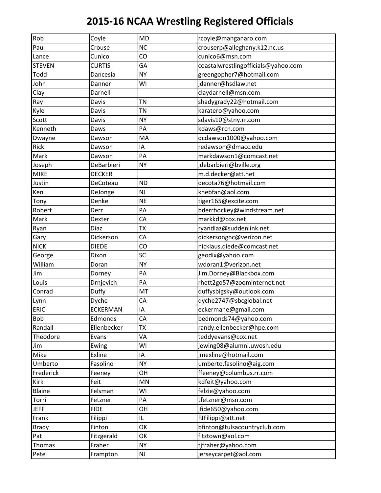| Rob           | Coyle           | <b>MD</b> | rcoyle@manganaro.com                |
|---------------|-----------------|-----------|-------------------------------------|
| Paul          | Crouse          | <b>NC</b> | crouserp@alleghany.k12.nc.us        |
| Lance         | Cunico          | CO        | cunico6@msn.com                     |
| <b>STEVEN</b> | <b>CURTIS</b>   | GA        | coastalwrestlingofficials@yahoo.com |
| Todd          | Dancesia        | <b>NY</b> | greengopher7@hotmail.com            |
| John          | Danner          | WI        | jdanner@hsdlaw.net                  |
| Clay          | Darnell         |           | claydarnell@msn.com                 |
| Ray           | Davis           | <b>TN</b> | shadygrady22@hotmail.com            |
| Kyle          | Davis           | <b>TN</b> | karatero@yahoo.com                  |
| Scott         | Davis           | <b>NY</b> | sdavis10@stny.rr.com                |
| Kenneth       | Daws            | PA        | kdaws@rcn.com                       |
| Dwayne        | Dawson          | MA        | dcdawson1000@yahoo.com              |
| Rick          | Dawson          | IA        | redawson@dmacc.edu                  |
| Mark          | Dawson          | PA        | markdawson1@comcast.net             |
| Joseph        | DeBarbieri      | <b>NY</b> | jdebarbieri@bville.org              |
| <b>MIKE</b>   | <b>DECKER</b>   |           | m.d.decker@att.net                  |
| Justin        | DeCoteau        | <b>ND</b> | decota76@hotmail.com                |
| Ken           | DeJonge         | NJ        | knebfan@aol.com                     |
| Tony          | Denke           | <b>NE</b> | tiger165@excite.com                 |
| Robert        | Derr            | PA        | bderrhockey@windstream.net          |
| Mark          | Dexter          | CA        | markkd@cox.net                      |
| Ryan          | Diaz            | <b>TX</b> | ryandiaz@suddenlink.net             |
| Gary          | Dickerson       | CA        | dickersongnc@verizon.net            |
| <b>NICK</b>   | <b>DIEDE</b>    | CO        | nicklaus.diede@comcast.net          |
| George        | Dixon           | SC        | geodix@yahoo.com                    |
| William       | Doran           | <b>NY</b> | wdoran1@verizon.net                 |
| Jim           | Dorney          | PA        | Jim.Dorney@Blackbox.com             |
| Louis         | Drnjevich       | PA        | rhett2go57@zoominternet.net         |
| Conrad        | Duffy           | MT        | duffysbigsky@outlook.com            |
| Lynn          | Dyche           | CA        | dyche2747@sbcglobal.net             |
| <b>ERIC</b>   | <b>ECKERMAN</b> | IA        | eckermane@gmail.com                 |
| Bob           | Edmonds         | CA        | bedmonds74@yahoo.com                |
| Randall       | Ellenbecker     | <b>TX</b> | randy.ellenbecker@hpe.com           |
| Theodore      | Evans           | VA        | teddyevans@cox.net                  |
| Jim           | Ewing           | WI        | jewing08@alumni.uwosh.edu           |
| Mike          | Exline          | ΙA        | jmexline@hotmail.com                |
| Umberto       | Fasolino        | <b>NY</b> | umberto.fasolino@aig.com            |
| Frederick     | Feeney          | OH        | ffeeney@columbus.rr.com             |
| Kirk          | Feit            | <b>MN</b> | kdfeit@yahoo.com                    |
| Blaine        | Felsman         | WI        | felzie@yahoo.com                    |
| Torri         | Fetzner         | PA        | tfetzner@msn.com                    |
| <b>JEFF</b>   | <b>FIDE</b>     | OH        | jfide650@yahoo.com                  |
| Frank         | Filippi         | IL        | FJFilippi@att.net                   |
| <b>Brady</b>  | Finton          | OK        | bfinton@tulsacountryclub.com        |
| Pat           | Fitzgerald      | OK        | fitztown@aol.com                    |
| Thomas        | Fraher          | <b>NY</b> | tjfraher@yahoo.com                  |
| Pete          | Frampton        | NJ        | jerseycarpet@aol.com                |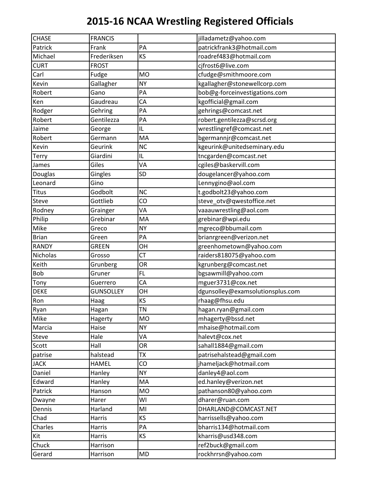| <b>CHASE</b> | <b>FRANCIS</b>   |           | jilladametz@yahoo.com            |
|--------------|------------------|-----------|----------------------------------|
| Patrick      | Frank            | PA        | patrickfrank3@hotmail.com        |
| Michael      | Frederiksen      | KS        | roadref483@hotmail.com           |
| <b>CURT</b>  | <b>FROST</b>     |           | cjfrost6@live.com                |
| Carl         | Fudge            | <b>MO</b> | cfudge@smithmoore.com            |
| Kevin        | Gallagher        | <b>NY</b> | kgallagher@stonewellcorp.com     |
| Robert       | Gano             | PA        | bob@g-forceinvestigations.com    |
| Ken          | Gaudreau         | CA        | kgofficial@gmail.com             |
| Rodger       | Gehring          | PA        | gehrings@comcast.net             |
| Robert       | Gentilezza       | PA        | robert.gentilezza@scrsd.org      |
| Jaime        | George           | IL        | wrestlingref@comcast.net         |
| Robert       | Germann          | MA        | bgermannjr@comcast.net           |
| Kevin        | Geurink          | <b>NC</b> | kgeurink@unitedseminary.edu      |
| <b>Terry</b> | Giardini         | IL        | tncgarden@comcast.net            |
| James        | Giles            | VA        | cgiles@baskervill.com            |
| Douglas      | Gingles          | <b>SD</b> | dougelancer@yahoo.com            |
| Leonard      | Gino             |           | Lennygino@aol.com                |
| <b>Titus</b> | Godbolt          | <b>NC</b> | t.godbolt23@yahoo.com            |
| Steve        | Gottlieb         | CO        | steve_otv@qwestoffice.net        |
| Rodney       | Grainger         | VA        | vaaauwrestling@aol.com           |
| Philip       | Grebinar         | MA        | grebinar@wpi.edu                 |
| Mike         | Greco            | <b>NY</b> | mgreco@bbumail.com               |
| <b>Brian</b> | Green            | PA        | brianrgreen@verizon.net          |
| <b>RANDY</b> | <b>GREEN</b>     | OH        | greenhometown@yahoo.com          |
| Nicholas     | Grosso           | CT        | raiders818075@yahoo.com          |
| Keith        | Grunberg         | OR        | kgrunberg@comcast.net            |
| Bob          | Gruner           | FL        | bgsawmill@yahoo.com              |
| Tony         | Guerrero         | CA        | mguer3731@cox.net                |
| <b>DEKE</b>  | <b>GUNSOLLEY</b> | OH        | dgunsolley@examsolutionsplus.com |
| Ron          | Haag             | KS        | rhaag@fhsu.edu                   |
| Ryan         | Hagan            | <b>TN</b> | hagan.ryan@gmail.com             |
| Mike         | Hagerty          | <b>MO</b> | mhagerty@bssd.net                |
| Marcia       | Haise            | <b>NY</b> | mhaise@hotmail.com               |
| Steve        | Hale             | VA        | halevt@cox.net                   |
| Scott        | Hall             | OR        | sahall1884@gmail.com             |
| patrise      | halstead         | <b>TX</b> | patrisehalstead@gmail.com        |
| <b>JACK</b>  | <b>HAMEL</b>     | CO        | jhameljack@hotmail.com           |
| Daniel       | Hanley           | <b>NY</b> | danley4@aol.com                  |
| Edward       | Hanley           | MA        | ed.hanley@verizon.net            |
| Patrick      | Hanson           | <b>MO</b> | pathanson80@yahoo.com            |
| Dwayne       | Harer            | WI        | dharer@ruan.com                  |
| Dennis       | Harland          | MI        | DHARLAND@COMCAST.NET             |
| Chad         | Harris           | KS        | harrissells@yahoo.com            |
| Charles      | Harris           | PA        | bharris134@hotmail.com           |
| Kit          | Harris           | KS        | kharris@usd348.com               |
| Chuck        | Harrison         |           | ref2buck@gmail.com               |
| Gerard       | Harrison         | MD        | rockhrrsn@yahoo.com              |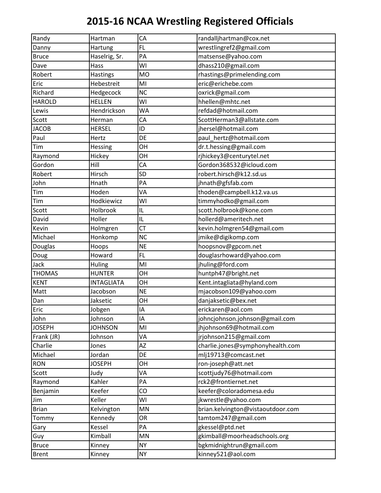| Randy         | Hartman           | CA        | randalljhartman@cox.net           |
|---------------|-------------------|-----------|-----------------------------------|
| Danny         | Hartung           | FL.       | wrestlingref2@gmail.com           |
| <b>Bruce</b>  | Haselrig, Sr.     | PA        | matsense@yahoo.com                |
| Dave          | Hass              | WI        | dhass210@gmail.com                |
| Robert        | <b>Hastings</b>   | <b>MO</b> | rhastings@primelending.com        |
| Eric          | Hebestreit        | MI        | eric@erichebe.com                 |
| Richard       | Hedgecock         | <b>NC</b> | oxrick@gmail.com                  |
| <b>HAROLD</b> | <b>HELLEN</b>     | WI        | hhellen@mhtc.net                  |
| Lewis         | Hendrickson       | <b>WA</b> | refdad@hotmail.com                |
| Scott         | Herman            | CA        | ScottHerman3@allstate.com         |
| <b>JACOB</b>  | <b>HERSEL</b>     | ID        | jhersel@hotmail.com               |
| Paul          | Hertz             | DE        | paul_hertz@hotmail.com            |
| Tim           | Hessing           | OH        | dr.t.hessing@gmail.com            |
| Raymond       | Hickey            | OH        | rjhickey3@centurytel.net          |
| Gordon        | Hill              | CA        | Gordon368532@icloud.com           |
| Robert        | Hirsch            | <b>SD</b> | robert.hirsch@k12.sd.us           |
| John          | Hnath             | PA        | jhnath@gfsfab.com                 |
| Tim           | Hoden             | VA        | thoden@campbell.k12.va.us         |
| Tim           | Hodkiewicz        | WI        | timmyhodko@gmail.com              |
| Scott         | Holbrook          | IL        | scott.holbrook@kone.com           |
| David         | Holler            | IL        | hollerd@ameritech.net             |
| Kevin         | Holmgren          | CT        | kevin.holmgren54@gmail.com        |
| Michael       | Honkomp           | <b>NC</b> | jmike@digikomp.com                |
| Douglas       | Hoops             | <b>NE</b> | hoopsnov@gpcom.net                |
| Doug          | Howard            | FL        | douglasrhoward@yahoo.com          |
| Jack          | Huling            | MI        | jhuling@ford.com                  |
| <b>THOMAS</b> | <b>HUNTER</b>     | OH        | huntph47@bright.net               |
| <b>KENT</b>   | <b>INTAGLIATA</b> | OH        | Kent.intagliata@hyland.com        |
| Matt          | Jacobson          | <b>NE</b> | mjacobson109@yahoo.com            |
| Dan           | Jaksetic          | OH        | danjaksetic@bex.net               |
| Eric          | Jobgen            | IA        | erickaren@aol.com                 |
| John          | Johnson           | IA        | johncjohnson.johnson@gmail.com    |
| <b>JOSEPH</b> | <b>JOHNSON</b>    | MI        | jhjohnson69@hotmail.com           |
| Frank (JR)    | Johnson           | VA        | jrjohnson215@gmail.com            |
| Charlie       | Jones             | AZ        | charlie.jones@symphonyhealth.com  |
| Michael       | Jordan            | DE        | mlj19713@comcast.net              |
| <b>RON</b>    | <b>JOSEPH</b>     | OH        | ron-joseph@att.net                |
| Scott         | Judy              | VA        | scottjudy76@hotmail.com           |
| Raymond       | Kahler            | PA        | rck2@frontiernet.net              |
| Benjamin      | Keefer            | CO        | keefer@coloradomesa.edu           |
| Jim           | Keller            | WI        | jkwrestle@yahoo.com               |
| <b>Brian</b>  | Kelvington        | MN        | brian.kelvington@vistaoutdoor.com |
| Tommy         | Kennedy           | OR        | tamtom247@gmail.com               |
| Gary          | Kessel            | PA        | gkessel@ptd.net                   |
| Guy           | Kimball           | MN        | gkimball@moorheadschools.org      |
| <b>Bruce</b>  | Kinney            | <b>NY</b> | bgkmidnightrun@gmail.com          |
| <b>Brent</b>  | Kinney            | <b>NY</b> | kinney521@aol.com                 |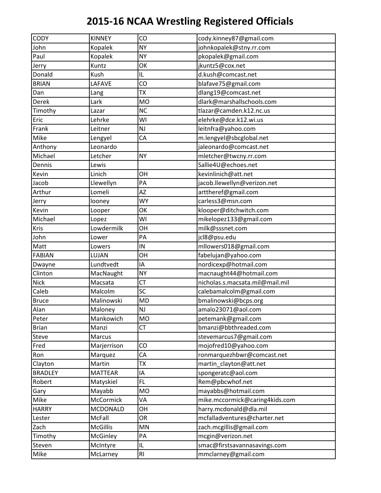| CODY           | <b>KINNEY</b>   | CO        | cody.kinney87@gmail.com         |
|----------------|-----------------|-----------|---------------------------------|
| John           | Kopalek         | <b>NY</b> | johnkopalek@stny.rr.com         |
| Paul           | Kopalek         | <b>NY</b> | pkopalek@gmail.com              |
| Jerry          | Kuntz           | OK        | jkuntz5@cox.net                 |
| Donald         | Kush            | IL        | d.kush@comcast.net              |
| <b>BRIAN</b>   | LAFAVE          | CO        | blafave75@gmail.com             |
| Dan            | Lang            | <b>TX</b> | dlang19@comcast.net             |
| Derek          | Lark            | <b>MO</b> | dlark@marshallschools.com       |
| Timothy        | Lazar           | <b>NC</b> | tlazar@camden.k12.nc.us         |
| Eric           | Lehrke          | WI        | elehrke@dce.k12.wi.us           |
| Frank          | Leitner         | NJ        | leitnfra@yahoo.com              |
| Mike           | Lengyel         | CA        | m.lengyel@sbcglobal.net         |
| Anthony        | Leonardo        |           | jaleonardo@comcast.net          |
| Michael        | Letcher         | <b>NY</b> | mletcher@twcny.rr.com           |
| Dennis         | Lewis           |           | Sallie4U@echoes.net             |
| Kevin          | Linich          | OH        | kevinlinich@att.net             |
| Jacob          | Llewellyn       | PA        | jacob.llewellyn@verizon.net     |
| Arthur         | Lomeli          | ΑZ        | arttheref@gmail.com             |
| Jerry          | looney          | <b>WY</b> | carless3@msn.com                |
| Kevin          | Looper          | OK        | klooper@ditchwitch.com          |
| Michael        | Lopez           | WI        | mikelopez133@gmail.com          |
| Kris           | Lowdermilk      | OH        | milk@sssnet.com                 |
| John           | Lower           | PA        | jcl8@psu.edu                    |
| Matt           | Lowers          | IN        | mllowers018@gmail.com           |
| <b>FABIAN</b>  | LUJAN           | OH        | fabelujan@yahoo.com             |
| Dwayne         | Lundtvedt       | IA        | nordicexp@hotmail.com           |
| Clinton        | MacNaught       | <b>NY</b> | macnaught44@hotmail.com         |
| <b>Nick</b>    | Macsata         | CT        | nicholas.s.macsata.mil@mail.mil |
| Caleb          | Malcolm         | SC        | calebamalcolm@gmail.com         |
| <b>Bruce</b>   | Malinowski      | <b>MD</b> | bmalinowski@bcps.org            |
| Alan           | Maloney         | NJ        | amalo23071@aol.com              |
| Peter          | Mankowich       | <b>MO</b> | petemank@gmail.com              |
| <b>Brian</b>   | Manzi           | <b>CT</b> | bmanzi@bbthreaded.com           |
| Steve          | Marcus          |           | stevemarcus7@gmail.com          |
| Fred           | Marjerrison     | CO        | mojofred10@yahoo.com            |
| Ron            | Marquez         | CA        | ronmarquezhbwr@comcast.net      |
| Clayton        | Martin          | <b>TX</b> | martin_clayton@att.net          |
| <b>BRADLEY</b> | <b>MATTEAR</b>  | ΙA        | spongeratc@aol.com              |
| Robert         | Matyskiel       | FL        | Rem@pbcwhof.net                 |
| Gary           | Mayabb          | <b>MO</b> | mayabbs@hotmail.com             |
| Mike           | McCormick       | VA        | mike.mccormick@caring4kids.com  |
| <b>HARRY</b>   | MCDONALD        | OH        | harry.mcdonald@dla.mil          |
| Lester         | McFall          | <b>OR</b> | mcfalladventures@charter.net    |
| Zach           | <b>McGillis</b> | MN        | zach.mcgillis@gmail.com         |
| Timothy        | McGinley        | PA        | mcgin@verizon.net               |
| Steven         | McIntyre        | IL        | smac@firstsavannasavings.com    |
| Mike           | McLarney        | RI        | mmclarney@gmail.com             |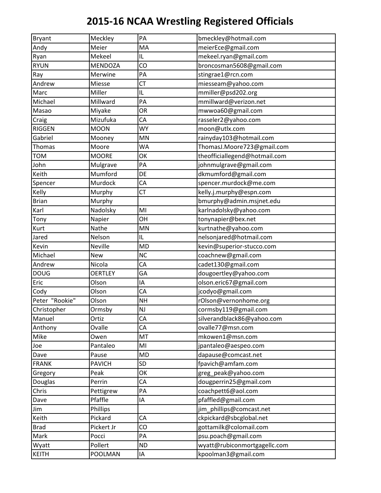| Bryant         | Meckley        | PA        | bmeckley@hotmail.com          |
|----------------|----------------|-----------|-------------------------------|
| Andy           | Meier          | MA        | meierEce@gmail.com            |
| Ryan           | Mekeel         | IL        | mekeel.ryan@gmail.com         |
| <b>RYUN</b>    | <b>MENDOZA</b> | CO        | broncosman5608@gmail.com      |
| Ray            | Merwine        | PA        | stingrae1@rcn.com             |
| Andrew         | Miesse         | <b>CT</b> | miesseam@yahoo.com            |
| Marc           | Miller         | IL        | mmiller@psd202.org            |
| Michael        | Millward       | PA        | mmillward@verizon.net         |
| Masao          | Miyake         | OR        | mwwoa60@gmail.com             |
| Craig          | Mizufuka       | СA        | rasseler2@yahoo.com           |
| <b>RIGGEN</b>  | <b>MOON</b>    | <b>WY</b> | moon@utlx.com                 |
| Gabriel        | Mooney         | MN        | rainyday103@hotmail.com       |
| Thomas         | Moore          | <b>WA</b> | ThomasJ.Moore723@gmail.com    |
| <b>TOM</b>     | <b>MOORE</b>   | OK        | theofficiallegend@hotmail.com |
| John           | Mulgrave       | PA        | johnmulgrave@gmail.com        |
| Keith          | Mumford        | DE        | dkmumford@gmail.com           |
| Spencer        | Murdock        | CA        | spencer.murdock@me.com        |
| Kelly          | Murphy         | <b>CT</b> | kelly.j.murphy@espn.com       |
| <b>Brian</b>   | Murphy         |           | bmurphy@admin.msjnet.edu      |
| Karl           | Nadolsky       | MI        | karlnadolsky@yahoo.com        |
| Tony           | Napier         | OH        | tonynapier@bex.net            |
| Kurt           | Nathe          | MN        | kurtnathe@yahoo.com           |
| Jared          | Nelson         | IL        | nelsonjared@hotmail.com       |
| Kevin          | Neville        | <b>MD</b> | kevin@superior-stucco.com     |
| Michael        | <b>New</b>     | <b>NC</b> | coachnew@gmail.com            |
| Andrew         | Nicola         | CA        | cadet130@gmail.com            |
| <b>DOUG</b>    | <b>OERTLEY</b> | GA        | dougoertley@yahoo.com         |
| Eric           | Olson          | ΙA        | olson.eric67@gmail.com        |
| Cody           | Olson          | CA        | jcodyo@gmail.com              |
| Peter "Rookie" | Olson          | <b>NH</b> | rOlson@vernonhome.org         |
| Christopher    | Ormsby         | <b>NJ</b> | cormsby119@gmail.com          |
| Manuel         | Ortiz          | CA        | silverandblack86@yahoo.com    |
| Anthony        | Ovalle         | CA        | ovalle77@msn.com              |
| Mike           | Owen           | MT        | mkowen1@msn.com               |
| Joe            | Pantaleo       | MI        | jpantaleo@aespeo.com          |
| Dave           | Pause          | MD        | dapause@comcast.net           |
| <b>FRANK</b>   | <b>PAVICH</b>  | <b>SD</b> | fpavich@amfam.com             |
| Gregory        | Peak           | OK        | greg_peak@yahoo.com           |
| Douglas        | Perrin         | CA        | dougperrin25@gmail.com        |
| Chris          | Pettigrew      | PA        | coachpett6@aol.com            |
| Dave           | Pfaffle        | IA        | pfaffled@gmail.com            |
| Jim            | Phillips       |           | jim_phillips@comcast.net      |
| Keith          | Pickard        | CA        | ckpickard@sbcglobal.net       |
| <b>Brad</b>    | Pickert Jr     | CO        | gottamilk@colomail.com        |
| Mark           | Pocci          | PA        | psu.poach@gmail.com           |
| Wyatt          | Pollert        | <b>ND</b> | wyatt@rubiconmortgagellc.com  |
| <b>KEITH</b>   | POOLMAN        | IA        | kpoolman3@gmail.com           |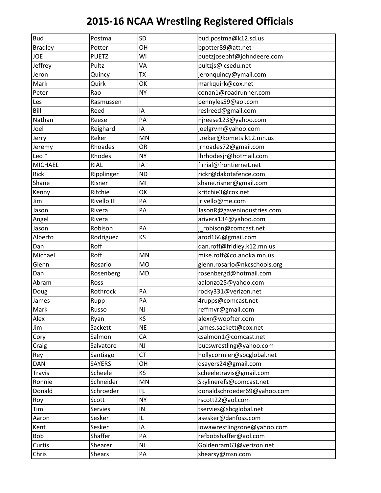| <b>Bud</b>       | Postma         | <b>SD</b> | bud.postma@k12.sd.us         |
|------------------|----------------|-----------|------------------------------|
| <b>Bradley</b>   | Potter         | OH        | bpotter89@att.net            |
| <b>JOE</b>       | <b>PUETZ</b>   | WI        | puetzjosephf@johndeere.com   |
| Jeffrey          | Pultz          | VA        | pultzjs@lcsedu.net           |
| Jeron            | Quincy         | <b>TX</b> | jeronquincy@ymail.com        |
| Mark             | Quirk          | OK        | markquirk@cox.net            |
| Peter            | Rao            | <b>NY</b> | conan1@roadrunner.com        |
| Les              | Rasmussen      |           | pennyles59@aol.com           |
| Bill             | Reed           | IA        | reslreed@gmail.com           |
| Nathan           | Reese          | PA        | njreese123@yahoo.com         |
| Joel             | Reighard       | ΙA        | joelgrvm@yahoo.com           |
| Jerry            | Reker          | MN        | j.reker@komets.k12.mn.us     |
| Jeremy           | Rhoades        | OR        | jrhoades72@gmail.com         |
| Leo <sup>*</sup> | Rhodes         | <b>NY</b> | Ihrhodesjr@hotmail.com       |
| <b>MICHAEL</b>   | <b>RIAL</b>    | IA        | flrrial@frontiernet.net      |
| Rick             | Ripplinger     | <b>ND</b> | rickr@dakotafence.com        |
| Shane            | Risner         | MI        | shane.risner@gmail.com       |
| Kenny            | Ritchie        | OK        | kritchie3@cox.net            |
| Jim              | Rivello III    | PA        | jrivello@me.com              |
| Jason            | Rivera         | PA        | JasonR@gavenindustries.com   |
| Angel            | Rivera         |           | arivera134@yahoo.com         |
| Jason            | Robison        | PA        | robison@comcast.net          |
| Alberto          | Rodriguez      | KS        | arod166@gmail.com            |
| Dan              | Roff           |           | dan.roff@fridley.k12.mn.us   |
| Michael          | Roff           | MN        | mike.roff@co.anoka.mn.us     |
| Glenn            | Rosario        | <b>MO</b> | glenn.rosario@nkcschools.org |
| Dan              | Rosenberg      | <b>MD</b> | rosenbergd@hotmail.com       |
| Abram            | Ross           |           | aalonzo25@yahoo.com          |
| Doug             | Rothrock       | PA        | rocky331@verizon.net         |
| James            | Rupp           | PA        | 4rupps@comcast.net           |
| Mark             | Russo          | <b>NJ</b> | reffmvr@gmail.com            |
| Alex             | Ryan           | KS        | alexr@woofter.com            |
| Jim              | Sackett        | <b>NE</b> | james.sackett@cox.net        |
| Cory             | Salmon         | CA        | csalmon1@comcast.net         |
| Craig            | Salvatore      | NJ        | bucswrestling@yahoo.com      |
| Rey              | Santiago       | СT        | hollycormier@sbcglobal.net   |
| DAN              | <b>SAYERS</b>  | OH        | dsayers24@gmail.com          |
| <b>Travis</b>    | Scheele        | KS        | scheeletravis@gmail.com      |
| Ronnie           | Schneider      | MN        | Skylinerefs@comcast.net      |
| Donald           | Schroeder      | FL        | donaldschroeder69@yahoo.com  |
| Roy              | Scott          | <b>NY</b> | rscott22@aol.com             |
| Tim              | <b>Servies</b> | IN        | tservies@sbcglobal.net       |
| Aaron            | Sesker         | IL        | asesker@danfoss.com          |
| Kent             | Sesker         | IA        | iowawrestlingzone@yahoo.com  |
| Bob              | Shaffer        | PA        | refbobshaffer@aol.com        |
| Curtis           | Shearer        | NJ        | Goldenram63@verizon.net      |
| Chris            | <b>Shears</b>  | PA        | shearsy@msn.com              |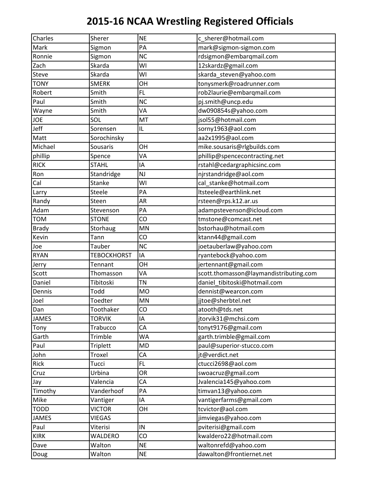| Charles      | Sherer             | <b>NE</b> | c_sherer@hotmail.com                   |
|--------------|--------------------|-----------|----------------------------------------|
| Mark         | Sigmon             | PA        | mark@sigmon-sigmon.com                 |
| Ronnie       | Sigmon             | <b>NC</b> | rdsigmon@embarqmail.com                |
| Zach         | Skarda             | WI        | 12skardz@gmail.com                     |
| Steve        | Skarda             | WI        | skarda_steven@yahoo.com                |
| <b>TONY</b>  | <b>SMERK</b>       | OH        | tonysmerk@roadrunner.com               |
| Robert       | Smith              | FL        | rob2laurie@embarqmail.com              |
| Paul         | Smith              | <b>NC</b> | pj.smith@uncp.edu                      |
| Wayne        | Smith              | VA        | dw090854s@yahoo.com                    |
| JOE          | SOL                | MT        | jsol55@hotmail.com                     |
| Jeff         | Sorensen           | IL        | sorny1963@aol.com                      |
| Matt         | Sorochinsky        |           | aa2x1995@aol.com                       |
| Michael      | <b>Sousaris</b>    | OH        | mike.sousaris@rlgbuilds.com            |
| phillip      | Spence             | VA        | phillip@spencecontracting.net          |
| <b>RICK</b>  | <b>STAHL</b>       | IA        | rstahl@cedargraphicsinc.com            |
| Ron          | Standridge         | <b>NJ</b> | njrstandridge@aol.com                  |
| Cal          | Stanke             | WI        | cal_stanke@hotmail.com                 |
| Larry        | Steele             | PA        | Itsteele@earthlink.net                 |
| Randy        | Steen              | AR        | rsteen@rps.k12.ar.us                   |
| Adam         | Stevenson          | PA        | adampstevenson@icloud.com              |
| <b>TOM</b>   | <b>STONE</b>       | CO        | tmstone@comcast.net                    |
| <b>Brady</b> | Storhaug           | MN        | bstorhau@hotmail.com                   |
| Kevin        | Tann               | CO        | ktann44@gmail.com                      |
| Joe          | Tauber             | <b>NC</b> | joetauberlaw@yahoo.com                 |
| <b>RYAN</b>  | <b>TEBOCKHORST</b> | IA        | ryantebock@yahoo.com                   |
| Jerry        | Tennant            | OH        | jertennant@gmail.com                   |
| Scott        | Thomasson          | VA        | scott.thomasson@laymandistributing.com |
| Daniel       | Tibitoski          | <b>TN</b> | daniel_tibitoski@hotmail.com           |
| Dennis       | Todd               | <b>MO</b> | dennist@wearcon.com                    |
| Joel         | Toedter            | MN        | jitoe@sherbtel.net                     |
| Dan          | Toothaker          | CO        | atooth@tds.net                         |
| <b>JAMES</b> | <b>TORVIK</b>      | IA        | jtorvik31@mchsi.com                    |
| Tony         | Trabucco           | CA        | tonyt9176@gmail.com                    |
| Garth        | Trimble            | <b>WA</b> | garth.trimble@gmail.com                |
| Paul         | Triplett           | <b>MD</b> | paul@superior-stucco.com               |
| John         | Troxel             | CA        | jt@verdict.net                         |
| Rick         | Tucci              | FL.       | ctucci2698@aol.com                     |
| Cruz         | Urbina             | OR        | swoacruz@gmail.com                     |
| Jay          | Valencia           | CA        | Jvalencia145@yahoo.com                 |
| Timothy      | Vanderhoof         | PA        | timvan13@yahoo.com                     |
| Mike         | Vantiger           | IA        | vantigerfarms@gmail.com                |
| <b>TODD</b>  | <b>VICTOR</b>      | OH        | tcvictor@aol.com                       |
| <b>JAMES</b> | VIEGAS             |           | jimviegas@yahoo.com                    |
| Paul         | Viterisi           | IN        | pviterisi@gmail.com                    |
| <b>KIRK</b>  | WALDERO            | CO        | kwaldero22@hotmail.com                 |
| Dave         | Walton             | <b>NE</b> | waltonrefd@yahoo.com                   |
| Doug         | Walton             | <b>NE</b> | dawalton@frontiernet.net               |